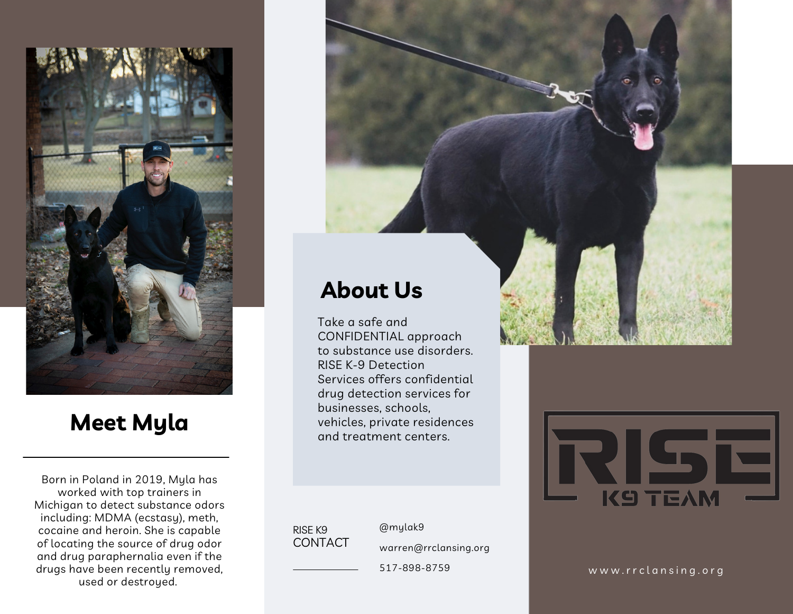

### **Meet Myla**

Born in Poland in 2019, Myla has worked with top trainers in Michigan to detect substance odors including: MDMA (ecstasy), meth, cocaine and heroin. She is capable of locating the source of drug odor and drug paraphernalia even if the drugs have been recently removed, used or described or the contract of the source of drug odor<br>g paraphernalia even if the sure been recently removed,<br>used or destroyed.





#### CONTACT RIS E K 9

r g @ m y l a k 9

5 1 7 - 8 9 8 - 8 7 5 9

businesses, schools,

vehicles, private residences and treatment centers.

www.rrclansing.org